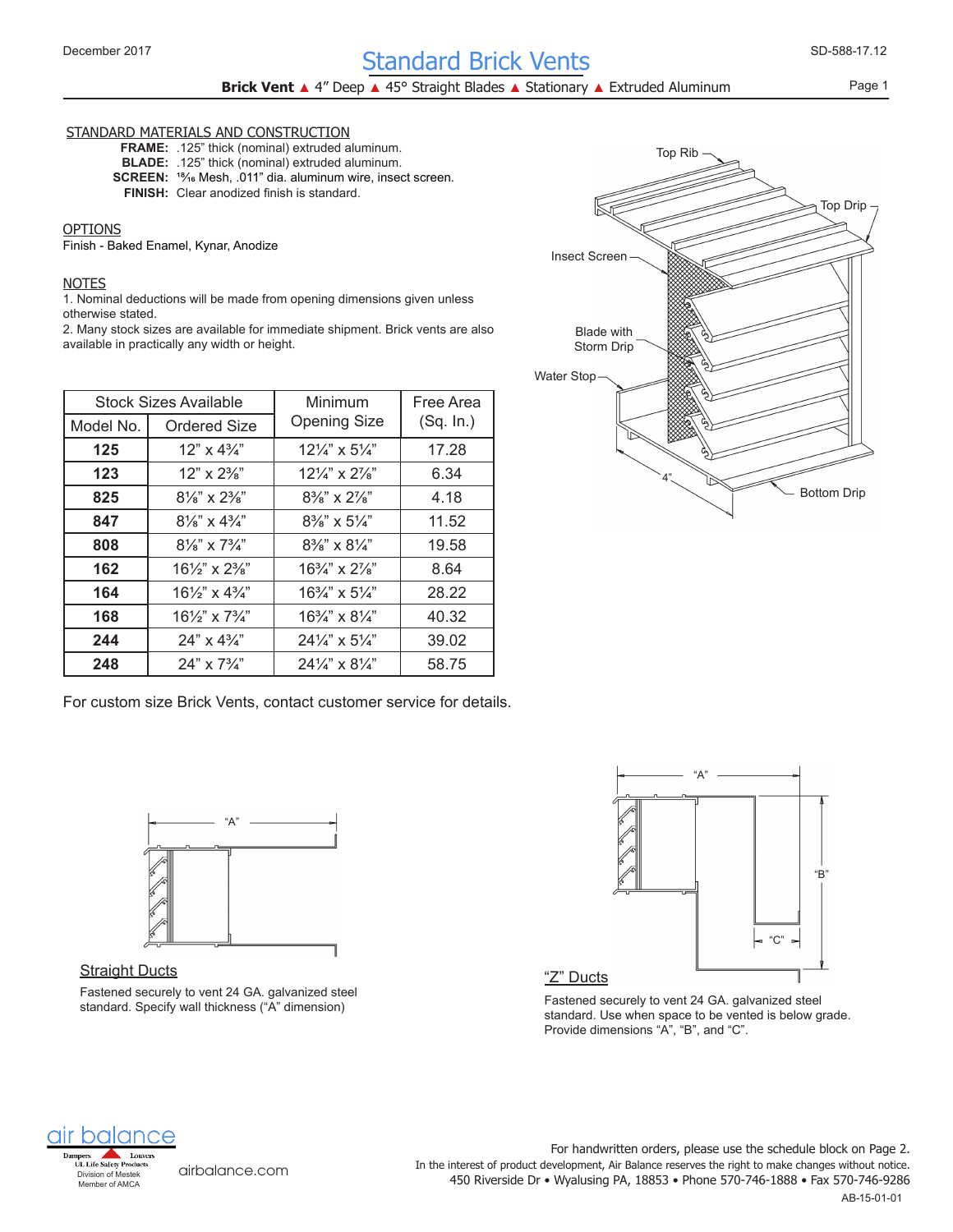# December 2017 Standard Brick Vents (Standard Brick SD-588-17.12

Page 1

### STANDARD MATERIALS AND CONSTRUCTION

**FRAME:** .125" thick (nominal) extruded aluminum. **BLADE:** .125" thick (nominal) extruded aluminum. SCREEN: <sup>18</sup>/<sub>16</sub> Mesh, .011" dia. aluminum wire, insect screen. FINISH: Clear anodized finish is standard.

#### OPTIONS

Finish - Baked Enamel, Kynar, Anodize

#### NOTES

1. Nominal deductions will be made from opening dimensions given unless otherwise stated.

2. Many stock sizes are available for immediate shipment. Brick vents are also available in practically any width or height.

|           | Stock Sizes Available                | Minimum                              | Free Area |  |
|-----------|--------------------------------------|--------------------------------------|-----------|--|
| Model No. | Ordered Size                         | <b>Opening Size</b>                  | (Sq. In.) |  |
| 125       | 12" x 43/4"                          | $12\frac{1}{4}$ x 5 $\frac{1}{4}$    | 17.28     |  |
| 123       | $12" \times 2\frac{3}{8}$            | $12\frac{1}{4}$ x $2\frac{7}{8}$     | 6.34      |  |
| 825       | $8\frac{1}{8}$ " x $2\frac{3}{8}$ "  | $8\frac{3}{8}$ " x $2\frac{7}{8}$ "  | 4.18      |  |
| 847       | $8\frac{1}{8}$ " x $4\frac{3}{4}$ "  | $8\frac{3}{8}$ " x $5\frac{1}{4}$ "  | 11.52     |  |
| 808       | $8\frac{1}{8}$ " x 7 $\frac{3}{4}$ " | $8\frac{3}{8}$ " x $8\frac{1}{4}$ "  | 19.58     |  |
| 162       | $16\frac{1}{2}$ " x $2\frac{3}{8}$ " | $16\frac{3}{4}$ " x $2\frac{7}{8}$ " | 8.64      |  |
| 164       | $16\frac{1}{2}$ " x $4\frac{1}{4}$ " | $16\frac{3}{4}$ " x $5\frac{1}{4}$ " | 28.22     |  |
| 168       | $16\frac{1}{2}$ " x $7\frac{3}{4}$ " | $16\frac{3}{4}$ " x $8\frac{1}{4}$ " | 40.32     |  |
| 244       | $24" \times 4\frac{3}{4}$            | $24\frac{1}{4}$ x $5\frac{1}{4}$     | 39.02     |  |
| 248       | $24" \times 7\frac{3}{4}$            | $24\frac{1}{4}$ x $8\frac{1}{4}$     | 58.75     |  |

For custom size Brick Vents, contact customer service for details.



### **Straight Ducts**

Fastened securely to vent 24 GA. galvanized steel standard. Specify wall thickness ("A" dimension)





"Z" Ducts

Fastened securely to vent 24 GA. galvanized steel standard. Use when space to be vented is below grade. Provide dimensions "A", "B", and "C".



[airbalance.com](http://airbalance.com)

450 Riverside Dr • Wyalusing PA, 18853 • Phone 570-746-1888 • Fax 570-746-9286 In the interest of product development, Air Balance reserves the right to make changes without notice. For handwritten orders, please use the schedule block on Page 2.